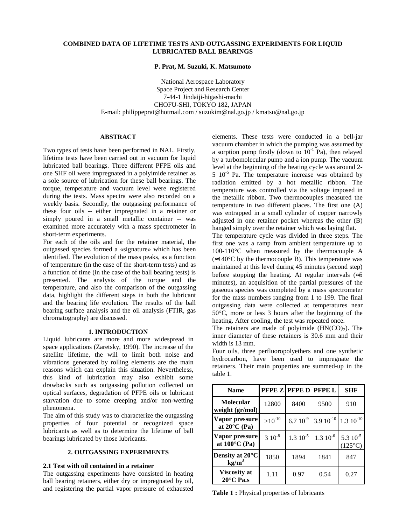# **COMBINED DATA OF LIFETIME TESTS AND OUTGASSING EXPERIMENTS FOR LIQUID LUBRICATED BALL BEARINGS**

#### **P. Prat, M. Suzuki, K. Matsumoto**

National Aerospace Laboratory Space Project and Research Center 7-44-1 Jindaiji-higashi-machi CHOFU-SHI, TOKYO 182, JAPAN E-mail: philippeprat@hotmail.com / suzukim@nal.go.jp / kmatsu@nal.go.jp

# **ABSTRACT**

Two types of tests have been performed in NAL. Firstly, lifetime tests have been carried out in vacuum for liquid lubricated ball bearings. Three different PFPE oils and one SHF oil were impregnated in a polyimide retainer as a sole source of lubrication for these ball bearings. The torque, temperature and vacuum level were registered during the tests. Mass spectra were also recorded on a weekly basis. Secondly, the outgassing performance of these four oils -- either impregnated in a retainer or simply poured in a small metallic container -- was examined more accurately with a mass spectrometer in short-term experiments.

For each of the oils and for the retainer material, the outgassed species formed a «signature» which has been identified. The evolution of the mass peaks, as a function of temperature (in the case of the short-term tests) and as a function of time (in the case of the ball bearing tests) is presented. The analysis of the torque and the temperature, and also the comparison of the outgassing data, highlight the different steps in both the lubricant and the bearing life evolution. The results of the ball bearing surface analysis and the oil analysis (FTIR, gas chromatography) are discussed.

### **1. INTRODUCTION**

Liquid lubricants are more and more widespread in space applications (Zaretsky, 1990). The increase of the satellite lifetime, the will to limit both noise and vibrations generated by rolling elements are the main reasons which can explain this situation. Nevertheless, this kind of lubrication may also exhibit some drawbacks such as outgassing pollution collected on optical surfaces, degradation of PFPE oils or lubricant starvation due to some creeping and/or non-wetting phenomena.

The aim of this study was to characterize the outgassing properties of four potential or recognized space lubricants as well as to determine the lifetime of ball bearings lubricated by those lubricants.

# **2. OUTGASSING EXPERIMENTS**

### **2.1 Test with oil contained in a retainer**

The outgassing experiments have consisted in heating ball bearing retainers, either dry or impregnated by oil, and registering the partial vapor pressure of exhausted

elements. These tests were conducted in a bell-jar vacuum chamber in which the pumping was assumed by a sorption pump firstly (down to  $10^{-1}$  Pa), then relayed by a turbomolecular pump and a ion pump. The vacuum level at the beginning of the heating cycle was around 2-  $5 \times 10^{-5}$  Pa. The temperature increase was obtained by radiation emitted by a hot metallic ribbon. The temperature was controlled via the voltage imposed in the metallic ribbon. Two thermocouples measured the temperature in two different places. The first one (A) was entrapped in a small cylinder of copper narrowly adjusted in one retainer pocket whereas the other (B) hanged simply over the retainer which was laying flat.

The temperature cycle was divided in three steps. The first one was a ramp from ambient temperature up to 100-110°C when measured by the thermocouple A  $(≈140°C$  by the thermocouple B). This temperature was maintained at this level during 45 minutes (second step) before stopping the heating. At regular intervals  $\approx 5$ minutes), an acquisition of the partial pressures of the gaseous species was completed by a mass spectrometer for the mass numbers ranging from 1 to 199. The final outgassing data were collected at temperatures near 50°C, more or less 3 hours after the beginning of the heating. After cooling, the test was repeated once.

The retainers are made of polyimide  $(HN(CO)<sub>2</sub>)$ . The inner diameter of these retainers is 30.6 mm and their width is 13 mm.

Four oils, three perfluoropolyethers and one synthetic hydrocarbon, have been used to impregnate the retainers. Their main properties are summed-up in the table 1.

| <b>Name</b>                                |             | <b>PFPE Z PFPE D PFPE L</b> |                | <b>SHF</b>                       |
|--------------------------------------------|-------------|-----------------------------|----------------|----------------------------------|
| <b>Molecular</b><br>weight (gr/mol)        | 12800       | 8400                        | 9500           | 910                              |
| Vapor pressure<br>at $20^{\circ}$ C (Pa)   | $>10^{-10}$ | $6.7~10^{-9}$               | $3.9 10^{-10}$ | $1.310^{-10}$                    |
| Vapor pressure<br>at $100^{\circ}$ C (Pa)  | $3.10^{-8}$ | $1.3 \, 10^{-5}$            | $1.310^{-6}$   | $5.310^{-5}$<br>$(125^{\circ}C)$ |
| Density at 20°C<br>kg/m <sup>3</sup>       | 1850        | 1894                        | 1841           | 847                              |
| <b>Viscosity at</b><br>$20^{\circ}$ C Pa.s | 1.11        | 0.97                        | 0.54           | 0.27                             |

**Table 1 :** Physical properties of lubricants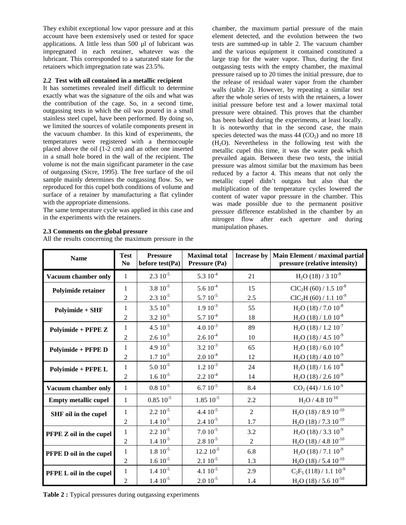They exhibit exceptional low vapor pressure and at this account have been extensively used or tested for space applications. A little less than 500 µl of lubricant was impregnated in each retainer, whatever was the lubricant. This corresponded to a saturated state for the retainers which impregnation rate was 23.5%.

# **2.2 Test with oil contained in a metallic recipient**

It has sometimes revealed itself difficult to determine exactly what was the signature of the oils and what was the contribution of the cage. So, in a second time, outgassing tests in which the oil was poured in a small stainless steel cupel, have been performed. By doing so, we limited the sources of volatile components present in the vacuum chamber. In this kind of experiments, the temperatures were registered with a thermocouple placed above the oil (1-2 cm) and an other one inserted in a small hole bored in the wall of the recipient. The volume is not the main significant parameter in the case of outgassing (Sicre, 1995). The free surface of the oil sample mainly determines the outgassing flow. So, we reproduced for this cupel both conditions of volume and surface of a retainer by manufacturing a flat cylinder with the appropriate dimensions.

The same temperature cycle was applied in this case and in the experiments with the retainers.

# **2.3 Comments on the global pressure**

All the results concerning the maximum pressure in the

chamber, the maximum partial pressure of the main element detected, and the evolution between the two tests are summed-up in table 2. The vacuum chamber and the various equipment it contained constituted a large trap for the water vapor. Thus, during the first outgassing tests with the empty chamber, the maximal pressure raised up to 20 times the initial pressure, due to the release of residual water vapor from the chamber walls (table 2). However, by repeating a similar test after the whole series of tests with the retainers, a lower initial pressure before test and a lower maximal total pressure were obtained. This proves that the chamber has been baked during the experiments, at least locally. It is noteworthy that in the second case, the main species detected was the mass  $44 \, (CO<sub>2</sub>)$  and no more 18  $(H<sub>2</sub>O)$ . Nevertheless in the following test with the metallic cupel this time, it was the water peak which prevailed again. Between these two tests, the initial pressure was almost similar but the maximum has been reduced by a factor 4. This means that not only the metallic cupel didn't outgass but also that the multiplication of the temperature cycles lowered the content of water vapor pressure in the chamber. This was made possible due to the permanent positive pressure difference established in the chamber by an nitrogen flow after each aperture and during manipulation phases.

| <b>Name</b>                 | <b>Test</b><br>N <sub>0</sub> | <b>Pressure</b><br>before test(Pa) | <b>Maximal</b> total<br>Pressure (Pa) | Increase by    | Main Element / maximal partial<br>pressure (relative intensity) |
|-----------------------------|-------------------------------|------------------------------------|---------------------------------------|----------------|-----------------------------------------------------------------|
| Vacuum chamber only         | $\mathbf{1}$                  | $2.310^{-5}$                       | $5.310^{-4}$                          | 21             | $H2O$ (18) / 3 $10^{-9}$                                        |
| Polyimide retainer          | $\mathbf{1}$                  | $3.8 10^{-5}$                      | $5.610^{-4}$                          | 15             | $ClC2H (60) / 1.5 10-8$                                         |
|                             | $\overline{2}$                | $2.3 \, 10^{-5}$                   | $5.7~10^{-5}$                         | 2.5            | $ClC2H (60) / 1.1 10-9$                                         |
| Polyimide + SHF             | 1                             | $3.510^{-5}$                       | $1.910^{-3}$                          | 55             | $H2O$ (18) / 7.0 $10^{-8}$                                      |
|                             | $\overline{2}$                | $3.2~10^{-5}$                      | $5.7~10^{-4}$                         | 18             | $H2O$ (18) / 1.0 $10^{-8}$                                      |
| Polyimide + PFPE Z          | $\mathbf{1}$                  | $4.5\;10^{ -5}$                    | $4.0\;10^{‐3}$                        | 89             | $\rm H_2O$ (18) / 1.2 $10^{-7}$                                 |
|                             | $\overline{2}$                | $2.610^{-5}$                       | $2.610^{-4}$                          | 10             | $H2O$ (18) / 4.5 10 <sup>-9</sup>                               |
| Polyimide + PFPE D          | $\mathbf{1}$                  | 4.9 $10^{-5}$                      | $3.2 \, 10^{-3}$                      | 65             | $H2O$ (18) / 6.0 $10^{-8}$                                      |
|                             | $\overline{2}$                | $1.7~10^{-5}$                      | $2.010^{-4}$                          | 12             | $H2O$ (18) / 4.0 $10^{-9}$                                      |
| Polyimide + PFPE L          | $\mathbf{1}$                  | $5.010^{-5}$                       | $1.2 \, 10^{-3}$                      | 24             | $H2O$ (18) / 1.6 $10^{-8}$                                      |
|                             | $\overline{2}$                | $1.610^{-5}$                       | $2.210^{-4}$                          | 14             | $H2O$ (18) / 2.6 10 <sup>-9</sup>                               |
| Vacuum chamber only         | $\mathbf{1}$                  | $0.8~10^{-5}$                      | $6.7~10^{-5}$                         | 8.4            | $CO2$ (44) / 1.6 $10^{-9}$                                      |
| <b>Empty metallic cupel</b> | $\mathbf{1}$                  | $0.85\ 10^{-5}$                    | $1.85\ 10^{-5}$                       | 2.2            | $\rm H_2O$ / $4.8~10^{-10}$                                     |
| SHF oil in the cupel        | 1                             | $2.210^{-5}$                       | 4.4 $10^{-5}$                         | $\overline{2}$ | $H2O$ (18) / 8.9 $10^{-10}$                                     |
|                             | $\overline{2}$                | $1.4 \,\, 10^{-5}$                 | $2.410^{-5}$                          | 1.7            | $H2O$ (18) / 7.3 $10^{-10}$                                     |
| PFPE Z oil in the cupel     | $\mathbf{1}$                  | $2.2~10^{-5}$                      | $7.010^{-5}$                          | 3.2            | $H2O$ (18) / 3.3 $10^{-9}$                                      |
|                             | $\overline{2}$                | $1.4~10^{-5}$                      | $2.8\;10^{5}$                         | $\overline{2}$ | $H2O$ (18) / 4.8 10 <sup>-10</sup>                              |
| PFPE D oil in the cupel     | $\mathbf{1}$                  | $1.8 \; 10^{-5}$                   | $12.2 10^{-5}$                        | 6.8            | $H2O$ (18) / 7.1 $10^{-9}$                                      |
|                             | $\overline{c}$                | $1.610^{-5}$                       | $2.1~10^{-5}$                         | 1.3            | $H2O$ (18) / 5.4 10 <sup>-10</sup>                              |
| PFPE L oil in the cupel     | $\mathbf{1}$                  | $1.4 \,\, 10^{-5}$                 | $4.1~10^{-5}$                         | 2.9            | $C_2F_5(118)/1.110^{-9}$                                        |
|                             | 2                             | $1.4~10^{-5}$                      | $2.010^{-5}$                          | 1.4            | $H2O$ (18) / 5.6 $10^{-10}$                                     |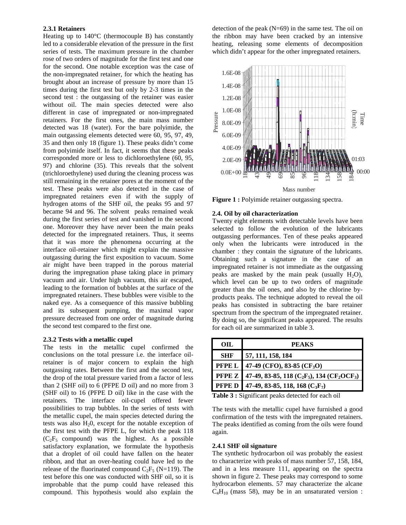### **2.3.1 Retainers**

Heating up to 140°C (thermocouple B) has constantly led to a considerable elevation of the pressure in the first series of tests. The maximum pressure in the chamber rose of two orders of magnitude for the first test and one for the second. One notable exception was the case of the non-impregnated retainer, for which the heating has brought about an increase of pressure by more than 15 times during the first test but only by 2-3 times in the second test : the outgassing of the retainer was easier without oil. The main species detected were also different in case of impregnated or non-impregnated retainers. For the first ones, the main mass number detected was 18 (water). For the bare polyimide, the main outgassing elements detected were 60, 95, 97, 49, 35 and then only 18 (figure 1). These peaks didn't come from polyimide itself. In fact, it seems that these peaks corresponded more or less to dichloroethylene (60, 95, 97) and chlorine (35). This reveals that the solvent (trichloroethylene) used during the cleaning process was still remaining in the retainer pores at the moment of the test. These peaks were also detected in the case of impregnated retainers even if with the supply of hydrogen atoms of the SHF oil, the peaks 95 and 97 became 94 and 96. The solvent peaks remained weak during the first series of test and vanished in the second one. Moreover they have never been the main peaks detected for the impregnated retainers. Thus, it seems that it was more the phenomena occurring at the interface oil-retainer which might explain the massive outgassing during the first exposition to vacuum. Some air might have been trapped in the porous material during the impregnation phase taking place in primary vacuum and air. Under high vacuum, this air escaped, leading to the formation of bubbles at the surface of the impregnated retainers. These bubbles were visible to the naked eye. As a consequence of this massive bubbling and its subsequent pumping, the maximal vapor pressure decreased from one order of magnitude during the second test compared to the first one.

# **2.3.2 Tests with a metallic cupel**

The tests in the metallic cupel confirmed the conclusions on the total pressure i.e. the interface oilretainer is of major concern to explain the high outgassing rates. Between the first and the second test, the drop of the total pressure varied from a factor of less than 2 (SHF oil) to 6 (PFPE D oil) and no more from 3 (SHF oil) to 16 (PFPE D oil) like in the case with the retainers. The interface oil-cupel offered fewer possibilities to trap bubbles. In the series of tests with the metallic cupel, the main species detected during the tests was also  $H<sub>2</sub>0$ , except for the notable exception of the first test with the PFPE L, for which the peak 118  $(C_2F_5$  compound) was the highest. As a possible satisfactory explanation, we formulate the hypothesis that a droplet of oil could have fallen on the heater ribbon, and that an over-heating could have led to the release of the fluorinated compound  $C_2F_5$  (N=119). The test before this one was conducted with SHF oil, so it is improbable that the pump could have released this compound. This hypothesis would also explain the

detection of the peak (N=69) in the same test. The oil on the ribbon may have been cracked by an intensive heating, releasing some elements of decomposition which didn't appear for the other impregnated retainers.



**Figure 1 :** Polyimide retainer outgassing spectra.

#### **2.4. Oil by oil characterization**

Twenty eight elements with detectable levels have been selected to follow the evolution of the lubricants outgassing performances. Ten of these peaks appeared only when the lubricants were introduced in the chamber : they contain the signature of the lubricants. Obtaining such a signature in the case of an impregnated retainer is not immediate as the outgassing peaks are masked by the main peak (usually  $H_2O$ ), which level can be up to two orders of magnitude greater than the oil ones, and also by the chlorine byproducts peaks. The technique adopted to reveal the oil peaks has consisted in subtracting the bare retainer spectrum from the spectrum of the impregnated retainer. By doing so, the significant peaks appeared. The results for each oil are summarized in table 3.

| OIL        | <b>PEAKS</b>                                               |
|------------|------------------------------------------------------------|
| <b>SHF</b> | 57, 111, 158, 184                                          |
|            | <b>PFPE L</b> 47-49 (CFO), 83-85 (CF <sub>3</sub> O)       |
|            | PFPE Z 47-49, 83-85, 118 ( $C_2F_5$ ), 134 ( $CF_2OCF_3$ ) |
|            | <b>PFPE D</b> 47-49, 83-85, 118, 168 ( $C_3F_7$ )          |

**Table 3 :** Significant peaks detected for each oil

The tests with the metallic cupel have furnished a good confirmation of the tests with the impregnated retainers. The peaks identified as coming from the oils were found again.

#### **2.4.1 SHF oil signature**

The synthetic hydrocarbon oil was probably the easiest to characterize with peaks of mass number 57, 158, 184, and in a less measure 111, appearing on the spectra shown in figure 2. These peaks may correspond to some hydrocarbon elements. 57 may characterize the alcane  $C_4H_{10}$  (mass 58), may be in an unsaturated version :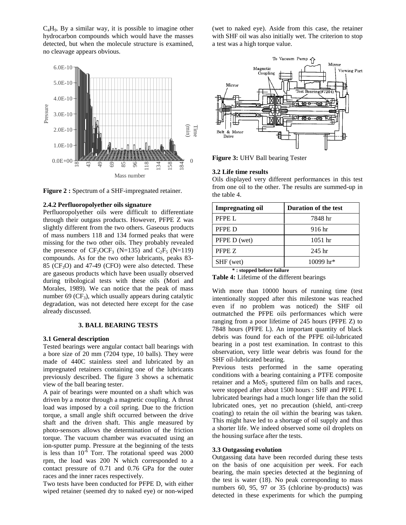C4H9. By a similar way, it is possible to imagine other hydrocarbon compounds which would have the masses detected, but when the molecule structure is examined, no cleavage appears obvious.



**Figure 2 :** Spectrum of a SHF-impregnated retainer.

#### **2.4.2 Perfluoropolyether oils signature**

Perfluoropolyether oils were difficult to differentiate through their outgass products. However, PFPE Z was slightly different from the two others. Gaseous products of mass numbers 118 and 134 formed peaks that were missing for the two other oils. They probably revealed the presence of  $CF_2OCF_3$  (N=135) and  $C_2F_5$  (N=119) compounds. As for the two other lubricants, peaks 83-  $85$  (CF<sub>3</sub>O) and 47-49 (CFO) were also detected. These are gaseous products which have been usually observed during tribological tests with these oils (Mori and Morales, 1989). We can notice that the peak of mass number 69 ( $CF_3$ ), which usually appears during catalytic degradation, was not detected here except for the case already discussed.

#### **3. BALL BEARING TESTS**

#### **3.1 General description**

Tested bearings were angular contact ball bearings with a bore size of 20 mm (7204 type, 10 balls). They were made of 440C stainless steel and lubricated by an impregnated retainers containing one of the lubricants previously described. The figure 3 shows a schematic view of the ball bearing tester.

A pair of bearings were mounted on a shaft which was driven by a motor through a magnetic coupling. A thrust load was imposed by a coil spring. Due to the friction torque, a small angle shift occurred between the drive shaft and the driven shaft. This angle measured by photo-sensors allows the determination of the friction torque. The vacuum chamber was evacuated using an ion-sputter pump. Pressure at the beginning of the tests is less than  $10^{-6}$  Torr. The rotational speed was 2000 rpm, the load was 200 N which corresponded to a contact pressure of 0.71 and 0.76 GPa for the outer races and the inner races respectively.

Two tests have been conducted for PFPE D, with either wiped retainer (seemed dry to naked eye) or non-wiped

(wet to naked eye). Aside from this case, the retainer with SHF oil was also initially wet. The criterion to stop a test was a high torque value.



**Figure 3:** UHV Ball bearing Tester

# **3.2 Life time results**

Oils displayed very different performances in this test from one oil to the other. The results are summed-up in the table 4.

| <b>Impregnating oil</b> | <b>Duration of the test</b> |
|-------------------------|-----------------------------|
| PFPE L                  | 7848 hr                     |
| PFPE D                  | 916 hr                      |
| PFPE D (wet)            | $1051$ hr                   |
| PFPE Z                  | $245$ hr                    |
| SHF (wet)               | 10099 hr*                   |
|                         |                             |

**\* : stopped before failure**

**Table 4:** Lifetime of the different bearings

With more than 10000 hours of running time (test intentionally stopped after this milestone was reached even if no problem was noticed) the SHF oil outmatched the PFPE oils performances which were ranging from a poor lifetime of 245 hours (PFPE Z) to 7848 hours (PFPE L). An important quantity of black debris was found for each of the PFPE oil-lubricated bearing in a post test examination. In contrast to this observation, very little wear debris was found for the SHF oil-lubricated bearing.

Previous tests performed in the same operating conditions with a bearing containing a PTFE composite retainer and a  $MoS<sub>2</sub>$  sputtered film on balls and races, were stopped after about 1500 hours : SHF and PFPE L lubricated bearings had a much longer life than the solid lubricated ones, yet no precaution (shield, anti-creep coating) to retain the oil within the bearing was taken. This might have led to a shortage of oil supply and thus a shorter life. We indeed observed some oil droplets on the housing surface after the tests.

### **3.3 Outgassing evolution**

Outgassing data have been recorded during these tests on the basis of one acquisition per week. For each bearing, the main species detected at the beginning of the test is water (18). No peak corresponding to mass numbers 60, 95, 97 or 35 (chlorine by-products) was detected in these experiments for which the pumping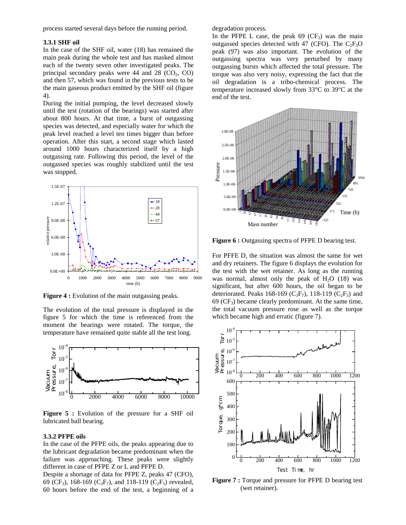process started several days before the running period.

### **3.3.1 SHF oil**

In the case of the SHF oil, water (18) has remained the main peak during the whole test and has masked almost each of the twenty seven other investigated peaks. The principal secondary peaks were  $44$  and  $28$  (CO<sub>2</sub>, CO) and then 57, which was found in the previous tests to be the main gaseous product emitted by the SHF oil (figure 4).

During the initial pumping, the level decreased slowly until the test (rotation of the bearings) was started after about 800 hours. At that time, a burst of outgassing species was detected, and especially water for which the peak level reached a level ten times bigger than before operation. After this start, a second stage which lasted around 1000 hours characterized itself by a high outgassing rate. Following this period, the level of the outgassed species was roughly stabilized until the test was stopped.



**Figure 4 :** Evolution of the main outgassing peaks.

The evolution of the total pressure is displayed in the figure 5 for which the time is referenced from the moment the bearings were rotated. The torque, the temperature have remained quite stable all the test long.



**Figure 5 :** Evolution of the pressure for a SHF oil lubricated ball bearing.

#### **3.3.2 PFPE oils**

In the case of the PFPE oils, the peaks appearing due to the lubricant degradation became predominant when the failure was approaching. These peaks were slightly different in case of PFPE Z or L and PFPE D.

Despite a shortage of data for PFPE Z, peaks 47 (CFO), 69 (CF<sub>3</sub>), 168-169 (C<sub>3</sub>F<sub>7</sub>), and 118-119 (C<sub>2</sub>F<sub>5</sub>) revealed, 60 hours before the end of the test, a beginning of a degradation process.

In the PFPE L case, the peak  $69$  (CF<sub>3</sub>) was the main outgassed species detected with 47 (CFO). The  $C_2F_3O$ peak (97) was also important. The evolution of the outgassing spectra was very perturbed by many outgassing bursts which affected the total pressure. The torque was also very noisy, expressing the fact that the oil degradation is a tribo-chemical process. The temperature increased slowly from 33°C to 39°C at the end of the test.



**Figure 6 :** Outgassing spectra of PFPE D bearing test.

For PFFE D, the situation was almost the same for wet and dry retainers. The figure 6 displays the evolution for the test with the wet retainer. As long as the running was normal, almost only the peak of  $H_2O$  (18) was significant, but after 600 hours, the oil began to be deteriorated. Peaks 168-169 ( $C_3F_7$ ), 118-119 ( $C_2F_5$ ) and  $69$  (CF<sub>3</sub>) became clearly predominant. At the same time, the total vacuum pressure rose as well as the torque which became high and erratic (figure 7).



**Figure 7 :** Torque and pressure for PFPE D bearing test (wet retainer).